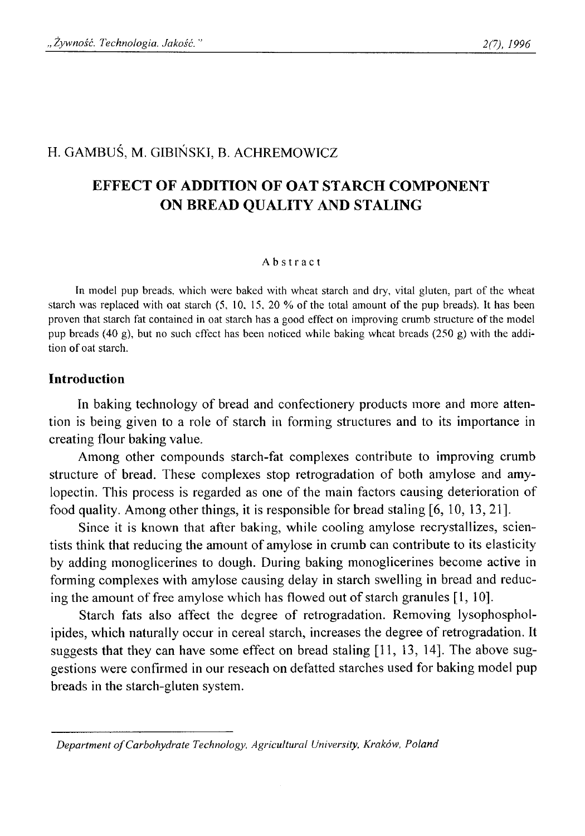# H. GAMBUŚ, M. GIBIŃSKI, B. ACHREMOWICZ

# **EFFECT OF ADDITION OF OAT STARCH COMPONENT ON BREAD QUALITY AND STALING**

#### Abstract

**In model pup breads, which were baked with wheat starch and dry, vital gluten, part of the wheat starch was replaced with oat starch (5, 10, 15, 20 % of the total amount of the pup breads). It has been proven that starch fat contained in oat starch has a good effect on improving crumb structure of the model pup breads (40 g), but no such effect has been noticed while baking wheat breads (250 g) with the addition of oat starch.**

## **Introduction**

In baking technology of bread and confectionery products more and more attention is being given to a role of starch in forming structures and to its importance in creating flour baking value.

Among other compounds starch-fat complexes contribute to improving crumb structure of bread. These complexes stop retrogradation of both amylose and amylopectin. This process is regarded as one of the main factors causing deterioration of food quality. Among other things, it is responsible for bread staling [6, 10, 13, 21].

Since it is known that after baking, while cooling amylose recrystallizes, scientists think that reducing the amount of amylose in crumb can contribute to its elasticity by adding monoglicerines to dough. During baking monoglicerines become active in forming complexes with amylose causing delay in starch swelling in bread and reducing the amount of free amylose which has flowed out of starch granules [1, 10].

Starch fats also affect the degree of retrogradation. Removing lysophospholipides, which naturally occur in cereal starch, increases the degree of retrogradation. It suggests that they can have some effect on bread staling [11, 13, 14]. The above suggestions were confirmed in our reseach on defatted starches used for baking model pup breads in the starch-gluten system.

Department of Carbohydrate Technology, Agricultural University, Kraków, Poland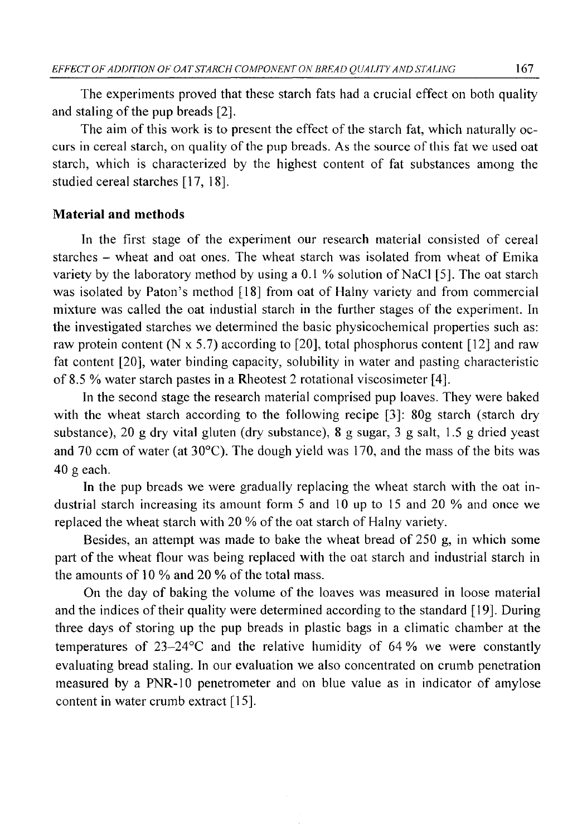The experiments proved that these starch fats had a crucial effect on both quality and staling of the pup breads [2].

The aim of this work is to present the effect of the starch fat, which naturally occurs in cereal starch, on quality of the pup breads. As the source of this fat we used oat starch, which is characterized by the highest content of fat substances among the studied cereal starches [17, 18].

## **Material and methods**

In the first stage of the experiment our research material consisted of cereal starches - wheat and oat ones. The wheat starch was isolated from wheat of Emika variety by the laboratory method by using a 0.1 % solution of NaCl [5]. The oat starch was isolated by Paton's method [18] from oat of Halny variety and from commercial mixture was called the oat industial starch in the further stages of the experiment. In the investigated starches we determined the basic physicochemical properties such as: raw protein content (N  $\times$  5.7) according to [20], total phosphorus content [12] and raw fat content [20], water binding capacity, solubility in water and pasting characteristic of 8.5 % water starch pastes in a Rheotest 2 rotational viscosimeter [4],

In the second stage the research material comprised pup loaves. They were baked with the wheat starch according to the following recipe [3]: 80g starch (starch dry substance), 20 g dry vital gluten (dry substance), 8 g sugar, 3 g salt, 1.5 g dried yeast and 70 ccm of water (at 30°C). The dough yield was 170, and the mass of the bits was 40 g each.

In the pup breads we were gradually replacing the wheat starch with the oat industrial starch increasing its amount form 5 and 10 up to 15 and 20 % and once we replaced the wheat starch with 20 % of the oat starch of Halny variety.

Besides, an attempt was made to bake the wheat bread of 250 g, in which some part of the wheat flour was being replaced with the oat starch and industrial starch in the amounts of 10 % and 20 % of the total mass.

On the day of baking the volume of the loaves was measured in loose material and the indices of their quality were determined according to the standard [19]. During three days of storing up the pup breads in plastic bags in a climatic chamber at the temperatures of 23-24°C and the relative humidity of 64 % we were constantly evaluating bread staling. In our evaluation we also concentrated on crumb penetration measured by a PNR-10 penetrometer and on blue value as in indicator of amylose content in water crumb extract [15].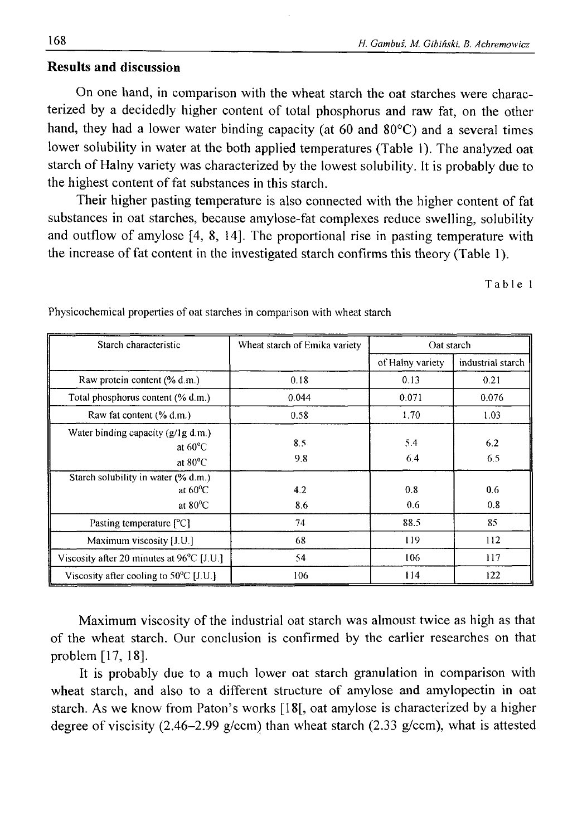# **Results and discussion**

On one hand, in comparison with the wheat starch the oat starches were characterized by a decidedly higher content of total phosphorus and raw fat, on the other hand, they had a lower water binding capacity (at 60 and  $80^{\circ}$ C) and a several times lower solubility in water at the both applied temperatures (Table 1). The analyzed oat starch of Halny variety was characterized by the lowest solubility. It is probably due to the highest content of fat substances in this starch.

Their higher pasting temperature is also connected with the higher content of fat substances in oat starches, because amylose-fat complexes reduce swelling, solubility and outflow of amylose [4, 8, 14]. The proportional rise in pasting temperature with the increase of fat content in the investigated starch confirms this theory (Table 1).

**Table 1**

| Starch characteristic                                                         | Wheat starch of Emika variety | Oat starch       |                   |  |
|-------------------------------------------------------------------------------|-------------------------------|------------------|-------------------|--|
|                                                                               |                               | of Halny variety | industrial starch |  |
| Raw protein content (% d.m.)                                                  | 0.18                          | 0.13             | 0.21              |  |
| Total phosphorus content (% d.m.)                                             | 0.044                         | 0.071            | 0.076             |  |
| Raw fat content (% d.m.)                                                      | 0.58                          | 1.70             | 1.03              |  |
| Water binding capacity (g/lg d.m.)<br>at $60^{\circ}$ C<br>at $80^{\circ}$ C  | 8.5<br>9.8                    | 5.4<br>6.4       | 6.2<br>6.5        |  |
| Starch solubility in water (% d.m.)<br>at $60^{\circ}$ C<br>at $80^{\circ}$ C | 4.2<br>8.6                    | 0.8<br>0.6       | 0.6<br>0.8        |  |
| Pasting temperature $[^{\circ}C]$                                             | 74                            | 88.5             | 85                |  |
| Maximum viscosity [J.U.]                                                      | 68                            | 119              | 112               |  |
| Viscosity after 20 minutes at $96^{\circ}$ C [J.U.]                           | 54                            | 106              | 117               |  |
| Viscosity after cooling to $50^{\circ}$ C [J.U.]                              | 106                           | 114              | 122               |  |

**Physicochemical properties of oat starches in comparison with wheat starch**

Maximum viscosity of the industrial oat starch was almoust twice as high as that of the wheat starch. Our conclusion is confirmed by the earlier researches on that problem [17, 18].

It is probably due to a much lower oat starch granulation in comparison with wheat starch, and also to a different structure of amylose and amylopectin in oat starch. As we know from Paton's works [18[, oat amylose is characterized by a higher degree of viscisity (2.46-2.99 g/ccm) than wheat starch (2.33 g/ccm), what is attested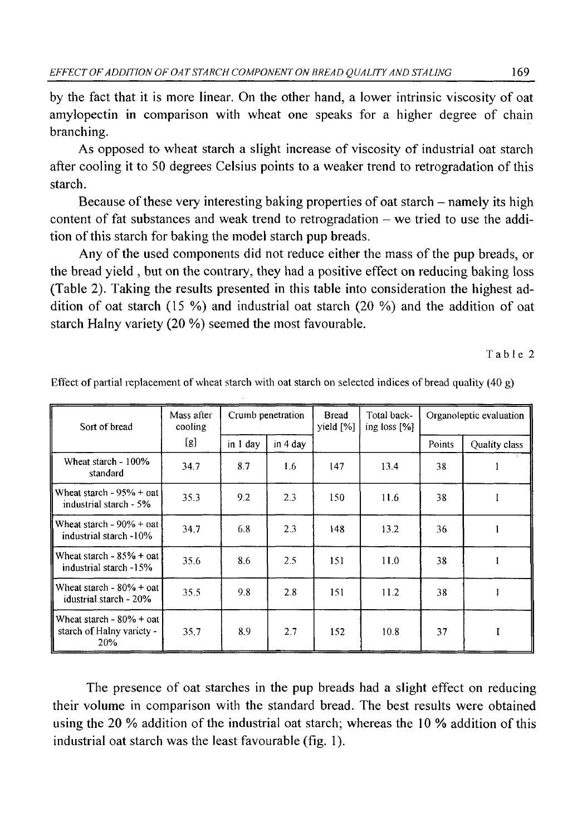by the fact that it is more linear. On the other hand, a lower intrinsic viscosity of oat amylopectin in comparison with wheat one speaks for a higher degree of chain branching.

As opposed to wheat starch a slight increase of viscosity of industrial oat starch after cooling it to 50 degrees Celsius points to a weaker trend to retrogradation of this starch.

Because of these very interesting baking properties of oat starch – namely its high content of fat substances and weak trend to retrogradation – we tried to use the addition of this starch for baking the model starch pup breads.

Any of the used components did not reduce either the mass of the pup breads, or the bread yield , but on the contrary, they had a positive effect on reducing baking loss (Table 2). Taking the results presented in this table into consideration the highest addition of oat starch (15 %) and industrial oat starch (20 %) and the addition of oat starch Halny variety (20 %) seemed the most favourable.

**Table 2**

| Sort of bread                                                   | Mass after<br>cooling | Crumb penetration |          | <b>Bread</b><br>yield [%] | Total back-<br>ing loss $[%]$ | Organoleptic evaluation |               |  |
|-----------------------------------------------------------------|-----------------------|-------------------|----------|---------------------------|-------------------------------|-------------------------|---------------|--|
|                                                                 | [g]                   | in 1 day          | in 4 day |                           |                               | Points                  | Quality class |  |
| Wheat starch - 100%<br>standard                                 | 34.7                  | 8.7               | 1.6      | 147                       | 13.4                          | 38                      |               |  |
| Wheat starch - $95% +$ oat<br>industrial starch - 5%            | 35.3                  | 9.2               | 2.3      | 150                       | 11.6                          | 38                      |               |  |
| Wheat starch - $90\%$ + oat<br>industrial starch -10%           | 34.7                  | 6.8               | 2.3      | 148                       | 13.2                          | 36                      |               |  |
| Wheat starch $-85% + 0$ at<br>industrial starch -15%            | 35.6                  | 8.6               | 2.5      | 151                       | 11.0                          | 38                      |               |  |
| Wheat starch - $80\%$ + oat<br>idustrial starch - 20%           | 35.5                  | 9.8               | 2.8      | 151                       | 11.2                          | 38                      |               |  |
| Wheat starch $-80\% + 0$ at<br>starch of Halny variety -<br>20% | 35.7                  | 8.9               | 2.7      | 152                       | 10.8                          | 37                      |               |  |

**Effect of partial replacement of wheat starch with oat starch on selected indices of bread quality (40 g)**

The presence of oat starches in the pup breads had a slight effect on reducing their volume in comparison with the standard bread. The best results were obtained using the 20 % addition of the industrial oat starch; whereas the 10 % addition of this industrial oat starch was the least favourable (fig. 1).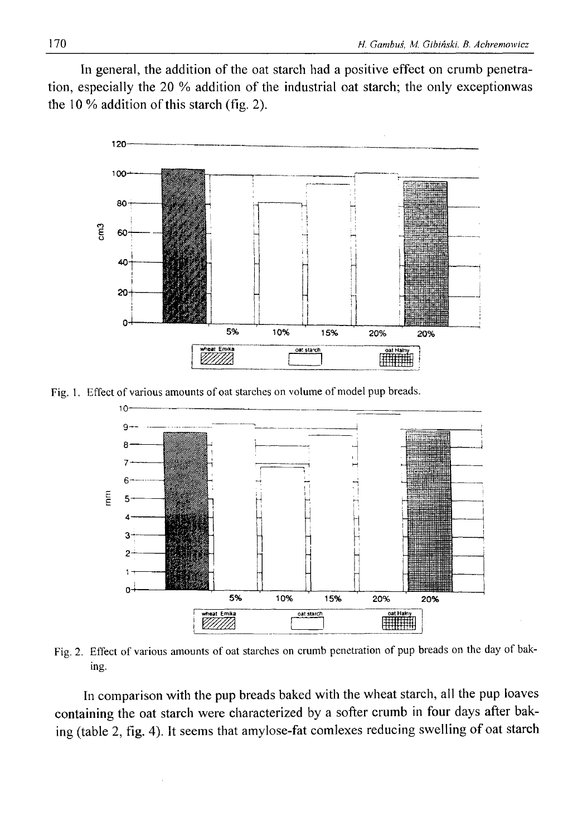In general, the addition of the oat starch had a positive effect on crumb penetration, especially the 20 % addition of the industrial oat starch; the only exceptionwas the 10 % addition of this starch (fig. 2).



Fig. 1. Effect of various amounts of oat starches on volume of model pup breads.



Fig. 2. Effect of various amounts of oat starches on crumb penetration of pup breads on the day of bak**ing.**

In comparison with the pup breads baked with the wheat starch, all the pup loaves containing the oat starch were characterized by a softer crumb in four days after baking (table 2, fig. 4). It seems that amylose-fat comlexes reducing swelling of oat starch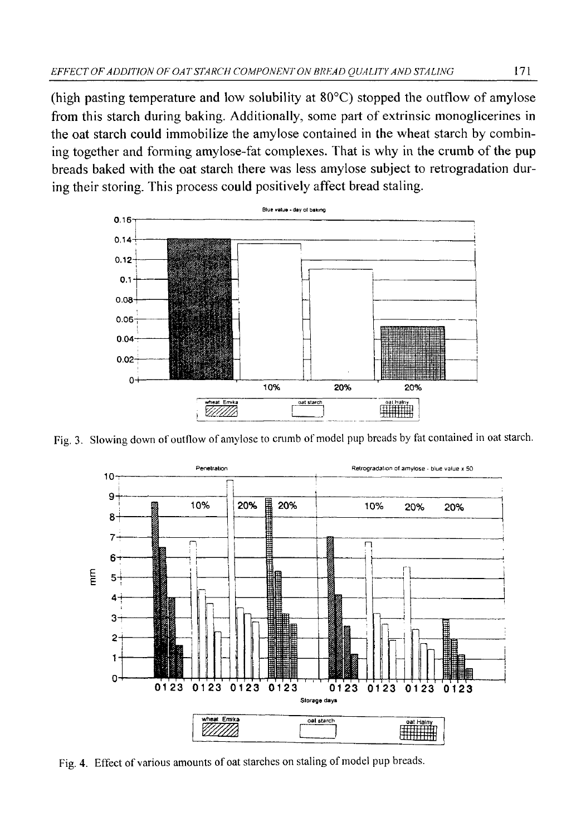(high pasting temperature and low solubility at 80°C) stopped the outflow of amylose from this starch during baking. Additionally, some part of extrinsic monoglicerines in the oat starch could immobilize the amylose contained in the wheat starch by combining together and forming amylose-fat complexes. That is why in the crumb of the pup breads baked with the oat starch there was less amylose subject to retrogradation during their storing. This process could positively affect bread staling.



**Fig. 3. Slowing down of outflow of amylose to crumb of model pup breads by fat contained in oat starch.**



Fig. 4. Effect of various amounts of oat starches on staling of model pup breads.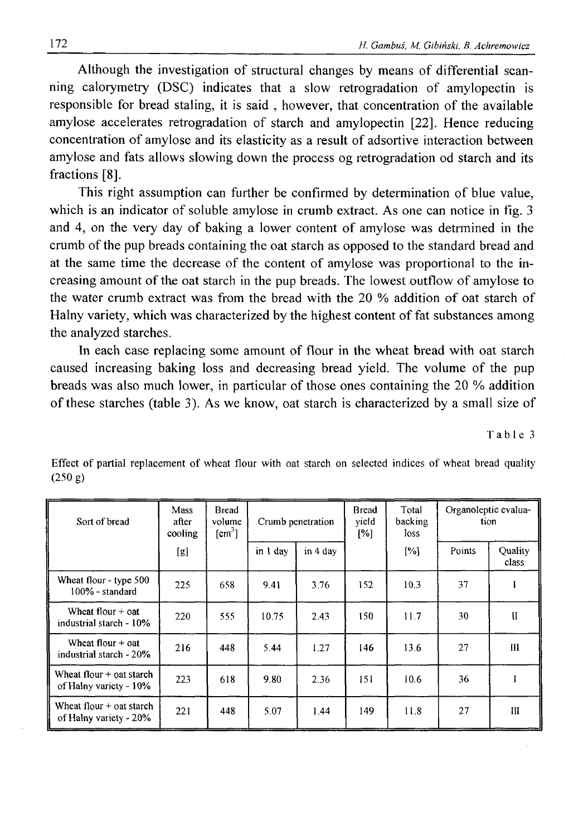Although the investigation of structural changes by means of differential scanning calorymetry (DSC) indicates that a slow retrogradation of amylopectin is responsible for bread staling, it is said , however, that concentration of the available amylose accelerates retrogradation of starch and amylopectin [22]. Hence reducing concentration of amylose and its elasticity as a result of adsortive interaction between amylose and fats allows slowing down the process og retrogradation od starch and its fractions [8].

This right assumption can further be confirmed by determination of blue value, which is an indicator of soluble amylose in crumb extract. As one can notice in fig. 3 and 4, on the very day of baking a lower content of amylose was detrmined in the crumb of the pup breads containing the oat starch as opposed to the standard bread and at the same time the decrease of the content of amylose was proportional to the increasing amount of the oat starch in the pup breads. The lowest outflow of amylose to the water crumb extract was from the bread with the 20 % addition of oat starch of Halny variety, which was characterized by the highest content of fat substances among the analyzed starches.

In each case replacing some amount of flour in the wheat bread with oat starch caused increasing baking loss and decreasing bread yield. The volume of the pup breads was also much lower, in particular of those ones containing the 20 % addition of these starches (table 3). As we know, oat starch is characterized by a small size of

**Table 3**

| Sort of bread                                        | Mass<br>after<br>cooling | Bread<br>volume<br>[cm'] | Crumb penetration |          | <b>Bread</b><br>vield<br>[%] | Total<br>backing<br>loss | Organoleptic evalua-<br>tion |                  |
|------------------------------------------------------|--------------------------|--------------------------|-------------------|----------|------------------------------|--------------------------|------------------------------|------------------|
|                                                      | [g]                      |                          | in 1 day          | in 4 day |                              | [%]                      | Points                       | Quality<br>class |
| Wheat flour - type 500<br>$100\%$ - standard         | 225                      | 658                      | 9.41              | 3.76     | 152                          | 10.3                     | 37                           | I                |
| Wheat flour $+$ oat<br>industrial starch - 10%       | 220                      | 555                      | 10.75             | 2.43     | 150                          | 11.7                     | 30                           | и                |
| Wheat flour $+$ oat<br>industrial starch - 20%       | 216                      | 448                      | 5.44              | 1.27     | 146                          | 13.6                     | 27                           | Ш                |
| Wheat flour $+$ oat starch<br>of Halny variety - 10% | 223                      | 618                      | 9.80              | 2.36     | 151                          | 10.6                     | 36                           |                  |
| Wheat flour $+$ oat starch<br>of Halny variety - 20% | 221                      | 448                      | 5.07              | 1.44     | 149                          | 11.8                     | 27                           | Ш                |

Effect of partial replacement of wheat flour with oat starch on selected indices of wheat bread quality **(250 g)**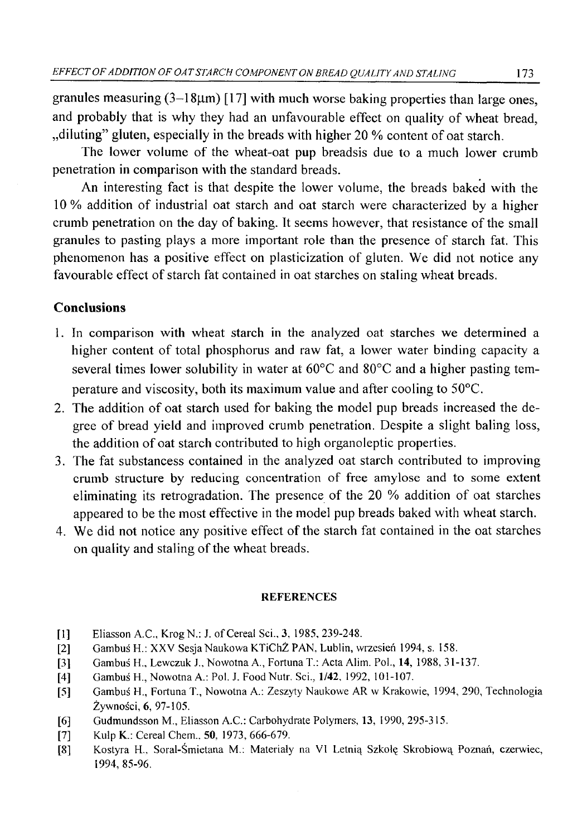granules measuring  $(3-18\mu m)$  [17] with much worse baking properties than large ones, and probably that is why they had an unfavourable effect on quality of wheat bread, ", diluting" gluten, especially in the breads with higher 20 % content of oat starch.

The lower volume of the wheat-oat pup breadsis due to a much lower crumb penetration in comparison with the standard breads.

An interesting fact is that despite the lower volume, the breads baked with the 10 % addition of industrial oat starch and oat starch were characterized by a higher crumb penetration on the day of baking. It seems however, that resistance of the small granules to pasting plays a more important role than the presence of starch fat. This phenomenon has a positive effect on plasticization of gluten. We did not notice any favourable effect of starch fat contained in oat starches on staling wheat breads.

# **Conclusions**

- 1. In comparison with wheat starch in the analyzed oat starches we determined a higher content of total phosphorus and raw fat, a lower water binding capacity a several times lower solubility in water at 60°C and 80°C and a higher pasting temperature and viscosity, both its maximum value and after cooling to 50°C.
- 2. The addition of oat starch used for baking the model pup breads increased the degree of bread yield and improved crumb penetration. Despite a slight baling loss, the addition of oat starch contributed to high organoleptic properties.
- 3. The fat substancess contained in the analyzed oat starch contributed to improving crumb structure by reducing concentration of free amylose and to some extent eliminating its retrogradation. The presence of the 20 % addition of oat starches appeared to be the most effective in the model pup breads baked with wheat starch.
- 4. We did not notice any positive effect of the starch fat contained in the oat starches on quality and staling of the wheat breads.

## **REFERENCES**

- **[1] Eliasson A.C., KrogN.: J. of Cereal Sci., 3, 1985, 239-248.**
- **[2] Gambuś H.: XXV Sesja Naukowa KTiChŻ PAN, Lublin, wrzesień 1994, s. 158.**
- **[3] Gambuś H., Lewczuk J., Nowotna A., Fortuna T.: Acta Alim. Pol., 14, 1988, 31-137.**
- [4] Gambuś H., Nowotna A.: Pol. J. Food Nutr. Sci., 1/42, 1992, 101-107.
- **[5] Gambuś H., Fortuna T., Nowotna A.: Zeszyty Naukowe AR w Krakowie, 1994, 290, Technologia Żywności, 6, 97-105.**
- **[6] Gudmundsson M., Eliasson A.C.: Carbohydrate Polymers, 13, 1990, 295-315.**
- **[7] Kulp K.: Cereal Chem., 50, 1973, 666-679.**
- **[8] Kostyra H., Soral-Śmietana M.: Materiały na VI Letnią Szkołę Skrobiową Poznań, czerwiec, 1994, 85-96.**